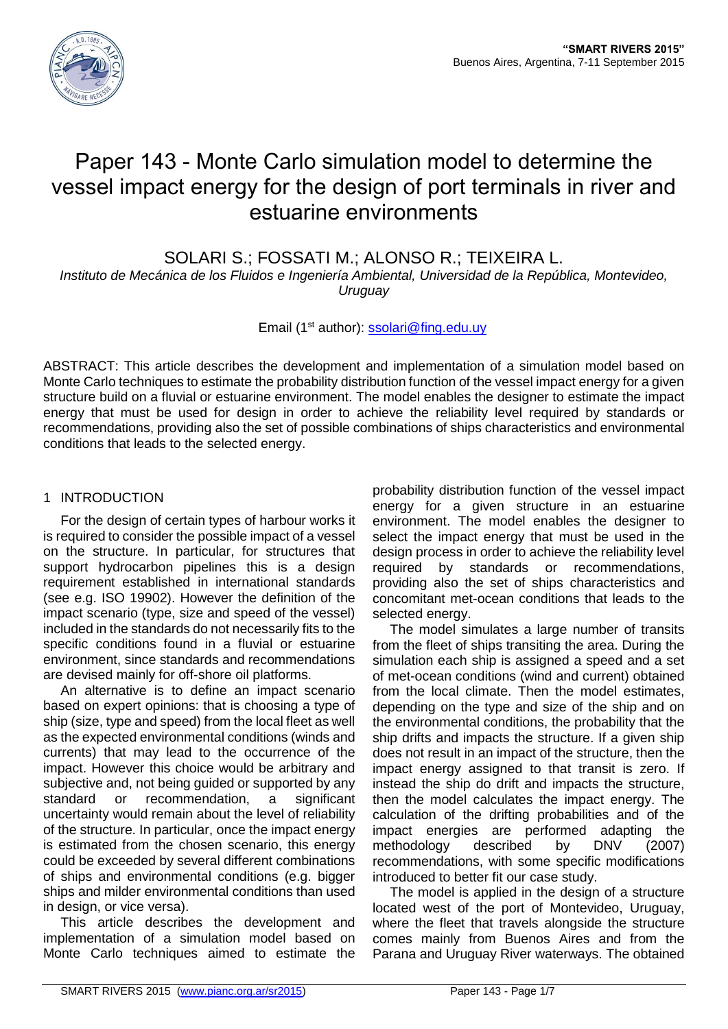

# Paper 143 - Monte Carlo simulation model to determine the vessel impact energy for the design of port terminals in river and estuarine environments

SOLARI S.; FOSSATI M.; ALONSO R.; TEIXEIRA L.

*Instituto de Mecánica de los Fluidos e Ingeniería Ambiental, Universidad de la República, Montevideo, Uruguay*

Email (1<sup>st</sup> author): [ssolari@fing.edu.uy](mailto:ssolari@fing.edu.uy)

ABSTRACT: This article describes the development and implementation of a simulation model based on Monte Carlo techniques to estimate the probability distribution function of the vessel impact energy for a given structure build on a fluvial or estuarine environment. The model enables the designer to estimate the impact energy that must be used for design in order to achieve the reliability level required by standards or recommendations, providing also the set of possible combinations of ships characteristics and environmental conditions that leads to the selected energy.

# 1 INTRODUCTION

For the design of certain types of harbour works it is required to consider the possible impact of a vessel on the structure. In particular, for structures that support hydrocarbon pipelines this is a design requirement established in international standards (see e.g. ISO 19902). However the definition of the impact scenario (type, size and speed of the vessel) included in the standards do not necessarily fits to the specific conditions found in a fluvial or estuarine environment, since standards and recommendations are devised mainly for off-shore oil platforms.

An alternative is to define an impact scenario based on expert opinions: that is choosing a type of ship (size, type and speed) from the local fleet as well as the expected environmental conditions (winds and currents) that may lead to the occurrence of the impact. However this choice would be arbitrary and subjective and, not being guided or supported by any standard or recommendation, a significant uncertainty would remain about the level of reliability of the structure. In particular, once the impact energy is estimated from the chosen scenario, this energy could be exceeded by several different combinations of ships and environmental conditions (e.g. bigger ships and milder environmental conditions than used in design, or vice versa).

This article describes the development and implementation of a simulation model based on Monte Carlo techniques aimed to estimate the

probability distribution function of the vessel impact energy for a given structure in an estuarine environment. The model enables the designer to select the impact energy that must be used in the design process in order to achieve the reliability level required by standards or recommendations, providing also the set of ships characteristics and concomitant met-ocean conditions that leads to the selected energy.

The model simulates a large number of transits from the fleet of ships transiting the area. During the simulation each ship is assigned a speed and a set of met-ocean conditions (wind and current) obtained from the local climate. Then the model estimates, depending on the type and size of the ship and on the environmental conditions, the probability that the ship drifts and impacts the structure. If a given ship does not result in an impact of the structure, then the impact energy assigned to that transit is zero. If instead the ship do drift and impacts the structure, then the model calculates the impact energy. The calculation of the drifting probabilities and of the impact energies are performed adapting the methodology described by DNV (2007) recommendations, with some specific modifications introduced to better fit our case study.

The model is applied in the design of a structure located west of the port of Montevideo, Uruguay, where the fleet that travels alongside the structure comes mainly from Buenos Aires and from the Parana and Uruguay River waterways. The obtained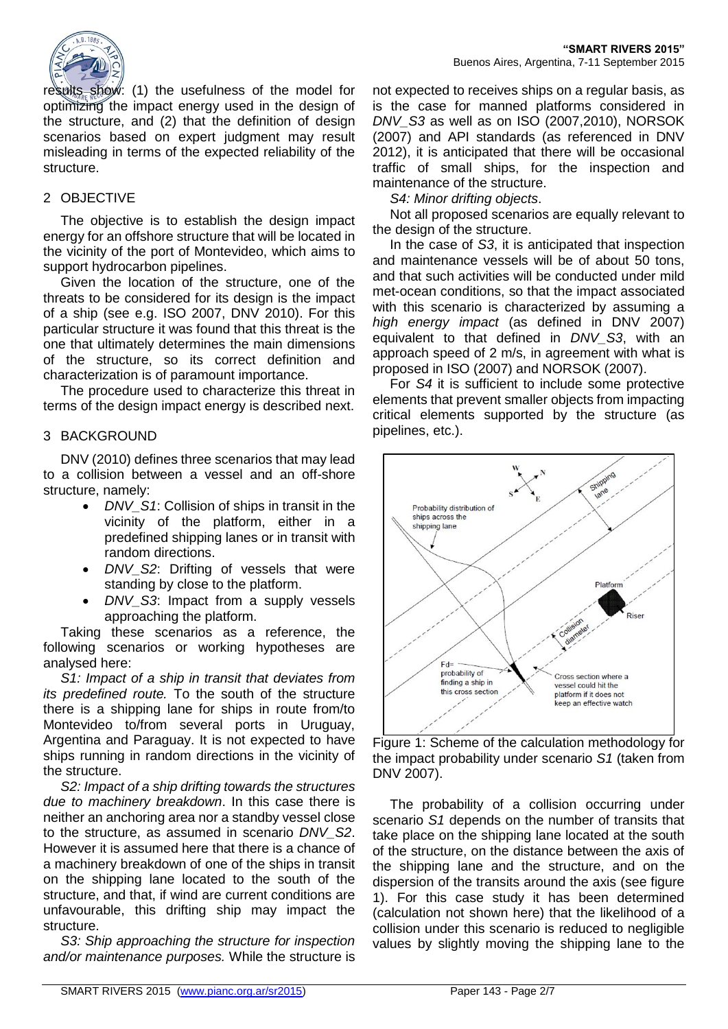

results show: (1) the usefulness of the model for optimizing the impact energy used in the design of the structure, and (2) that the definition of design scenarios based on expert judgment may result misleading in terms of the expected reliability of the structure.

#### 2 OBJECTIVE

The objective is to establish the design impact energy for an offshore structure that will be located in the vicinity of the port of Montevideo, which aims to support hydrocarbon pipelines.

Given the location of the structure, one of the threats to be considered for its design is the impact of a ship (see e.g. ISO 2007, DNV 2010). For this particular structure it was found that this threat is the one that ultimately determines the main dimensions of the structure, so its correct definition and characterization is of paramount importance.

The procedure used to characterize this threat in terms of the design impact energy is described next.

#### 3 BACKGROUND

DNV (2010) defines three scenarios that may lead to a collision between a vessel and an off-shore structure, namely:

- *DNV\_S1*: Collision of ships in transit in the vicinity of the platform, either in a predefined shipping lanes or in transit with random directions.
- *DNV\_S2*: Drifting of vessels that were standing by close to the platform.
- *DNV\_S3*: Impact from a supply vessels approaching the platform.

Taking these scenarios as a reference, the following scenarios or working hypotheses are analysed here:

*S1: Impact of a ship in transit that deviates from its predefined route.* To the south of the structure there is a shipping lane for ships in route from/to Montevideo to/from several ports in Uruguay, Argentina and Paraguay. It is not expected to have ships running in random directions in the vicinity of the structure.

*S2: Impact of a ship drifting towards the structures due to machinery breakdown*. In this case there is neither an anchoring area nor a standby vessel close to the structure, as assumed in scenario *DNV\_S2*. However it is assumed here that there is a chance of a machinery breakdown of one of the ships in transit on the shipping lane located to the south of the structure, and that, if wind are current conditions are unfavourable, this drifting ship may impact the structure.

*S3: Ship approaching the structure for inspection and/or maintenance purposes.* While the structure is

not expected to receives ships on a regular basis, as is the case for manned platforms considered in *DNV\_S3* as well as on ISO (2007,2010), NORSOK (2007) and API standards (as referenced in DNV 2012), it is anticipated that there will be occasional traffic of small ships, for the inspection and maintenance of the structure.

*S4: Minor drifting objects*.

Not all proposed scenarios are equally relevant to the design of the structure.

In the case of *S3*, it is anticipated that inspection and maintenance vessels will be of about 50 tons, and that such activities will be conducted under mild met-ocean conditions, so that the impact associated with this scenario is characterized by assuming a *high energy impact* (as defined in DNV 2007) equivalent to that defined in *DNV\_S3*, with an approach speed of 2 m/s, in agreement with what is proposed in ISO (2007) and NORSOK (2007).

For *S4* it is sufficient to include some protective elements that prevent smaller objects from impacting critical elements supported by the structure (as pipelines, etc.).



Figure 1: Scheme of the calculation methodology for the impact probability under scenario *S1* (taken from DNV 2007).

The probability of a collision occurring under scenario *S1* depends on the number of transits that take place on the shipping lane located at the south of the structure, on the distance between the axis of the shipping lane and the structure, and on the dispersion of the transits around the axis (see figure 1). For this case study it has been determined (calculation not shown here) that the likelihood of a collision under this scenario is reduced to negligible values by slightly moving the shipping lane to the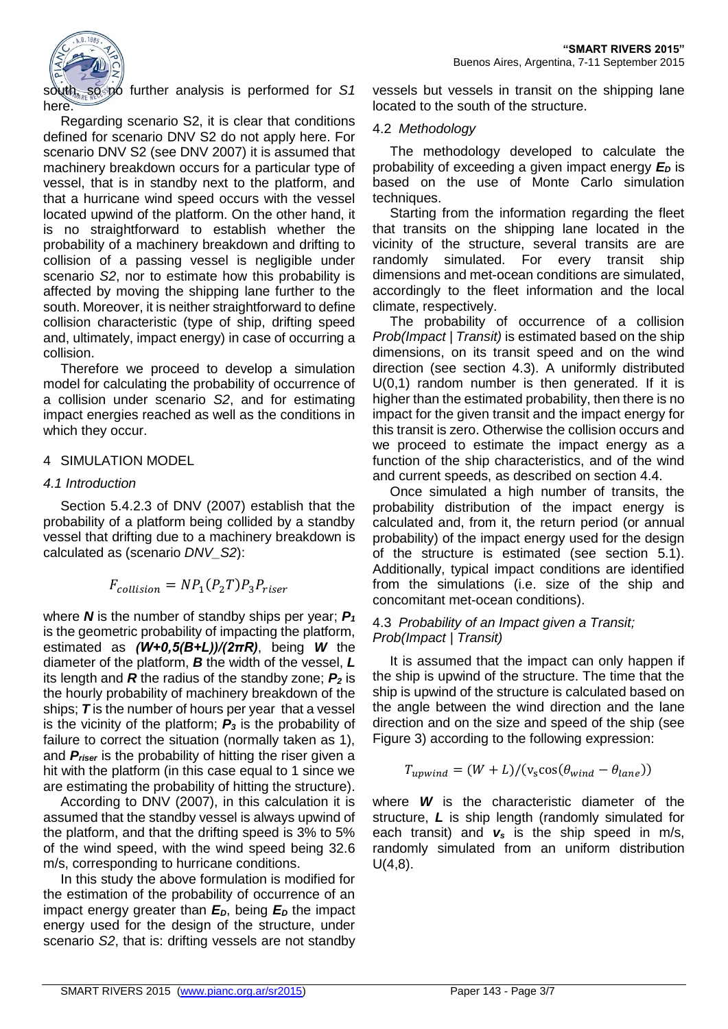

so po further analysis is performed for S1

Regarding scenario S2, it is clear that conditions defined for scenario DNV S2 do not apply here. For scenario DNV S2 (see DNV 2007) it is assumed that machinery breakdown occurs for a particular type of vessel, that is in standby next to the platform, and that a hurricane wind speed occurs with the vessel located upwind of the platform. On the other hand, it is no straightforward to establish whether the probability of a machinery breakdown and drifting to collision of a passing vessel is negligible under scenario *S2*, nor to estimate how this probability is affected by moving the shipping lane further to the south. Moreover, it is neither straightforward to define collision characteristic (type of ship, drifting speed and, ultimately, impact energy) in case of occurring a collision.

Therefore we proceed to develop a simulation model for calculating the probability of occurrence of a collision under scenario *S2*, and for estimating impact energies reached as well as the conditions in which they occur.

# 4 SIMULATION MODEL

# *4.1 Introduction*

Section 5.4.2.3 of DNV (2007) establish that the probability of a platform being collided by a standby vessel that drifting due to a machinery breakdown is calculated as (scenario *DNV\_S2*):

# $F_{collision} = NP_1(P_2T)P_3P_{riser}$

where *N* is the number of standby ships per year; *P<sup>1</sup>* is the geometric probability of impacting the platform, estimated as *(W+0,5(B+L))/(2πR)*, being *W* the diameter of the platform, *B* the width of the vessel, *L* its length and *R* the radius of the standby zone; *P<sup>2</sup>* is the hourly probability of machinery breakdown of the ships; *T* is the number of hours per year that a vessel is the vicinity of the platform; *P<sup>3</sup>* is the probability of failure to correct the situation (normally taken as 1), and *Priser* is the probability of hitting the riser given a hit with the platform (in this case equal to 1 since we are estimating the probability of hitting the structure).

According to DNV (2007), in this calculation it is assumed that the standby vessel is always upwind of the platform, and that the drifting speed is 3% to 5% of the wind speed, with the wind speed being 32.6 m/s, corresponding to hurricane conditions.

In this study the above formulation is modified for the estimation of the probability of occurrence of an impact energy greater than  $E<sub>D</sub>$ , being  $E<sub>D</sub>$  the impact energy used for the design of the structure, under scenario *S2*, that is: drifting vessels are not standby vessels but vessels in transit on the shipping lane located to the south of the structure.

# 4.2 *Methodology*

The methodology developed to calculate the probability of exceeding a given impact energy *E<sup>D</sup>* is based on the use of Monte Carlo simulation techniques.

Starting from the information regarding the fleet that transits on the shipping lane located in the vicinity of the structure, several transits are are randomly simulated. For every transit ship dimensions and met-ocean conditions are simulated, accordingly to the fleet information and the local climate, respectively.

The probability of occurrence of a collision *Prob(Impact | Transit)* is estimated based on the ship dimensions, on its transit speed and on the wind direction (see section 4.3). A uniformly distributed U(0,1) random number is then generated. If it is higher than the estimated probability, then there is no impact for the given transit and the impact energy for this transit is zero. Otherwise the collision occurs and we proceed to estimate the impact energy as a function of the ship characteristics, and of the wind and current speeds, as described on section 4.4.

Once simulated a high number of transits, the probability distribution of the impact energy is calculated and, from it, the return period (or annual probability) of the impact energy used for the design of the structure is estimated (see section 5.1). Additionally, typical impact conditions are identified from the simulations (i.e. size of the ship and concomitant met-ocean conditions).

#### 4.3 *Probability of an Impact given a Transit; Prob(Impact | Transit)*

It is assumed that the impact can only happen if the ship is upwind of the structure. The time that the ship is upwind of the structure is calculated based on the angle between the wind direction and the lane direction and on the size and speed of the ship (see Figure 3) according to the following expression:

$$
T_{upwind} = (W + L)/(v_s \cos(\theta_{wind} - \theta_{lane}))
$$

where *W* is the characteristic diameter of the structure, *L* is ship length (randomly simulated for each transit) and *v<sup>s</sup>* is the ship speed in m/s, randomly simulated from an uniform distribution  $U(4.8)$ .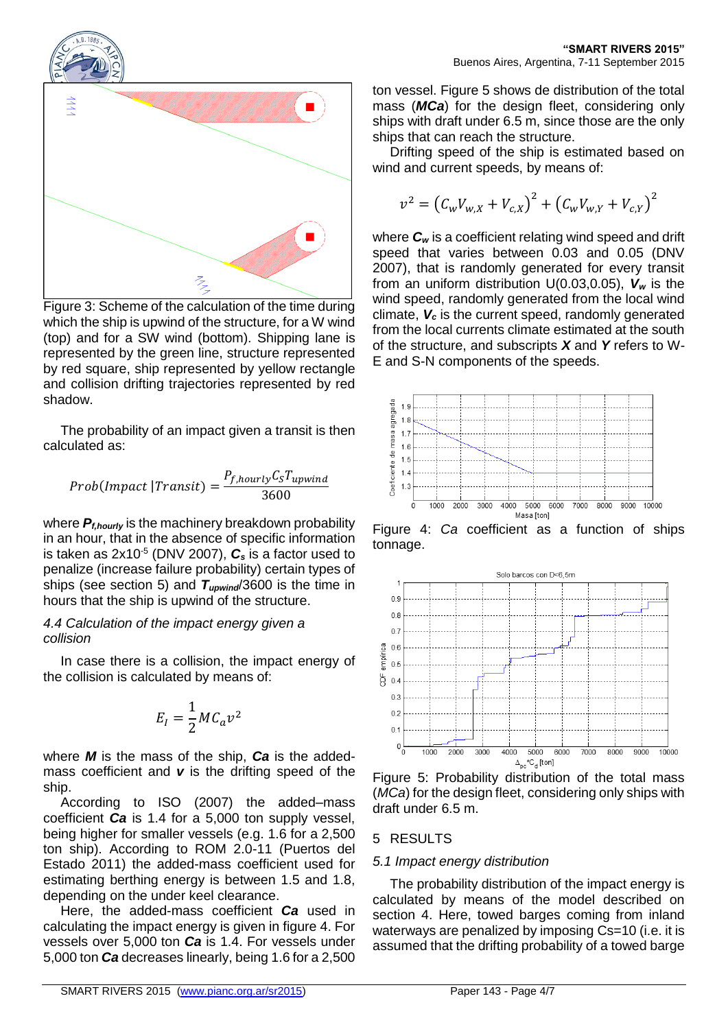



Figure 3: Scheme of the calculation of the time during which the ship is upwind of the structure, for a W wind (top) and for a SW wind (bottom). Shipping lane is represented by the green line, structure represented by red square, ship represented by yellow rectangle and collision drifting trajectories represented by red shadow.

The probability of an impact given a transit is then calculated as:

$$
Prob(Impack | Transit) = \frac{P_{f,hourly}C_ST_{upwind}}{3600}
$$

where *Pf,hourly* is the machinery breakdown probability in an hour, that in the absence of specific information is taken as 2x10-5 (DNV 2007), *C<sup>s</sup>* is a factor used to penalize (increase failure probability) certain types of ships (see section 5) and *Tupwind*/3600 is the time in hours that the ship is upwind of the structure.

#### *4.4 Calculation of the impact energy given a collision*

In case there is a collision, the impact energy of the collision is calculated by means of:

$$
E_I = \frac{1}{2} M C_a v^2
$$

where *M* is the mass of the ship, *Ca* is the addedmass coefficient and *v* is the drifting speed of the ship.

According to ISO (2007) the added–mass coefficient *Ca* is 1.4 for a 5,000 ton supply vessel, being higher for smaller vessels (e.g. 1.6 for a 2,500 ton ship). According to ROM 2.0-11 (Puertos del Estado 2011) the added-mass coefficient used for estimating berthing energy is between 1.5 and 1.8, depending on the under keel clearance.

Here, the added-mass coefficient *Ca* used in calculating the impact energy is given in figure 4. For vessels over 5,000 ton *Ca* is 1.4. For vessels under 5,000 ton *Ca* decreases linearly, being 1.6 for a 2,500

ton vessel. Figure 5 shows de distribution of the total mass (*MCa*) for the design fleet, considering only ships with draft under 6.5 m, since those are the only ships that can reach the structure.

Drifting speed of the ship is estimated based on wind and current speeds, by means of:

$$
v^{2} = (C_{w}V_{w,X} + V_{c,X})^{2} + (C_{w}V_{w,Y} + V_{c,Y})^{2}
$$

where  $C_w$  is a coefficient relating wind speed and drift speed that varies between 0.03 and 0.05 (DNV 2007), that is randomly generated for every transit from an uniform distribution U(0.03,0.05), *V<sup>w</sup>* is the wind speed, randomly generated from the local wind climate, *V<sup>c</sup>* is the current speed, randomly generated from the local currents climate estimated at the south of the structure, and subscripts *X* and *Y* refers to W-E and S-N components of the speeds.



Figure 4: *Ca* coefficient as a function of ships tonnage.



Figure 5: Probability distribution of the total mass (*MCa*) for the design fleet, considering only ships with draft under 6.5 m.

# 5 RESULTS

#### *5.1 Impact energy distribution*

The probability distribution of the impact energy is calculated by means of the model described on section 4. Here, towed barges coming from inland waterways are penalized by imposing Cs=10 (i.e. it is assumed that the drifting probability of a towed barge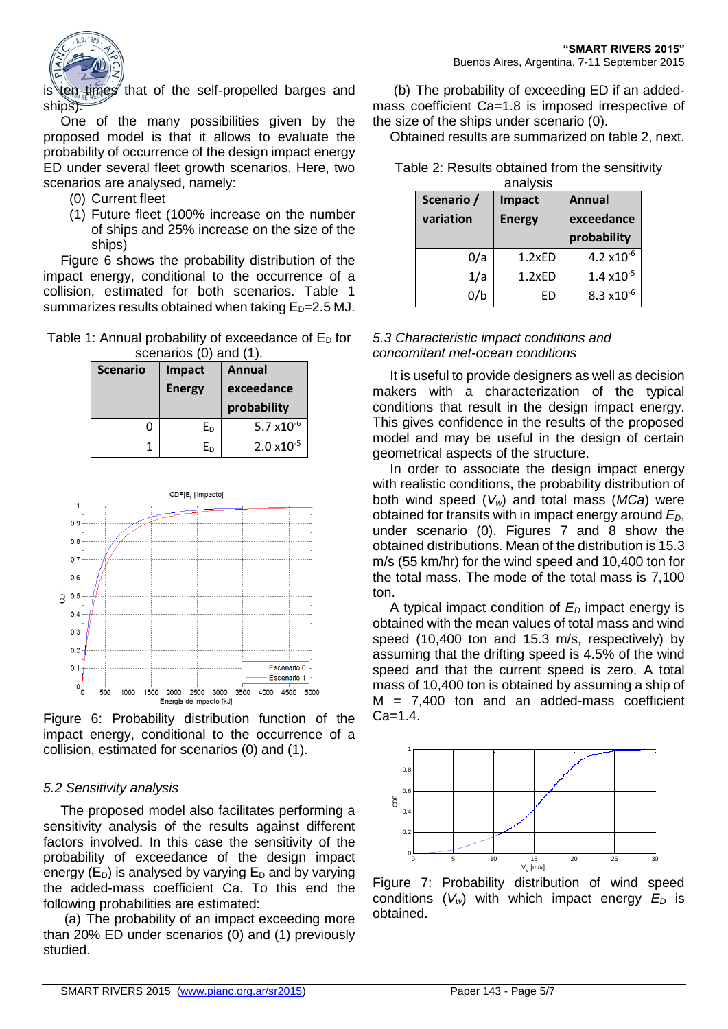

is ten times that of the self-propelled barges and ships).

One of the many possibilities given by the proposed model is that it allows to evaluate the probability of occurrence of the design impact energy ED under several fleet growth scenarios. Here, two scenarios are analysed, namely:

- (0) Current fleet
- (1) Future fleet (100% increase on the number of ships and 25% increase on the size of the ships)

Figure 6 shows the probability distribution of the impact energy, conditional to the occurrence of a collision, estimated for both scenarios. Table 1 summarizes results obtained when taking  $E_D=2.5$  MJ.

| Table 1: Annual probability of exceedance of $E_D$ for |  |
|--------------------------------------------------------|--|
| scenarios $(0)$ and $(1)$ .                            |  |

| <b>Scenario</b> | <b>Impact</b><br><b>Energy</b> | <b>Annual</b><br>exceedance<br>probability |
|-----------------|--------------------------------|--------------------------------------------|
|                 | Еn                             | 5.7 $\times 10^{-6}$                       |
|                 | Еn                             | $2.0 \times 10^{-5}$                       |



Figure 6: Probability distribution function of the impact energy, conditional to the occurrence of a collision, estimated for scenarios (0) and (1).

# *5.2 Sensitivity analysis*

The proposed model also facilitates performing a sensitivity analysis of the results against different factors involved. In this case the sensitivity of the probability of exceedance of the design impact energy ( $E_D$ ) is analysed by varying  $E_D$  and by varying the added-mass coefficient Ca. To this end the following probabilities are estimated:

(a) The probability of an impact exceeding more than 20% ED under scenarios (0) and (1) previously studied.

(b) The probability of exceeding ED if an addedmass coefficient Ca=1.8 is imposed irrespective of the size of the ships under scenario (0).

Obtained results are summarized on table 2, next.

| Table 2: Results obtained from the sensitivity |  |
|------------------------------------------------|--|
|------------------------------------------------|--|

| analysis   |               |                      |  |  |
|------------|---------------|----------------------|--|--|
| Scenario / | Impact        | <b>Annual</b>        |  |  |
| variation  | <b>Energy</b> | exceedance           |  |  |
|            |               | probability          |  |  |
| 0/a        | 1.2xFD        | 4.2 $\times 10^{-6}$ |  |  |
| 1/a        | 1.2xED        | $1.4 \times 10^{-5}$ |  |  |
|            | FD            | $8.3 \times 10^{-6}$ |  |  |

# *5.3 Characteristic impact conditions and concomitant met-ocean conditions*

It is useful to provide designers as well as decision makers with a characterization of the typical conditions that result in the design impact energy. This gives confidence in the results of the proposed model and may be useful in the design of certain geometrical aspects of the structure.

In order to associate the design impact energy with realistic conditions, the probability distribution of both wind speed (*Vw*) and total mass (*MCa*) were obtained for transits with in impact energy around *ED*, under scenario (0). Figures 7 and 8 show the obtained distributions. Mean of the distribution is 15.3 m/s (55 km/hr) for the wind speed and 10,400 ton for the total mass. The mode of the total mass is 7,100 ton.

A typical impact condition of  $E<sub>D</sub>$  impact energy is obtained with the mean values of total mass and wind speed (10,400 ton and 15.3 m/s, respectively) by assuming that the drifting speed is 4.5% of the wind speed and that the current speed is zero. A total mass of 10,400 ton is obtained by assuming a ship of  $M = 7,400$  ton and an added-mass coefficient Ca=1.4.



Figure 7: Probability distribution of wind speed conditions  $(V_w)$  with which impact energy  $E_D$  is obtained.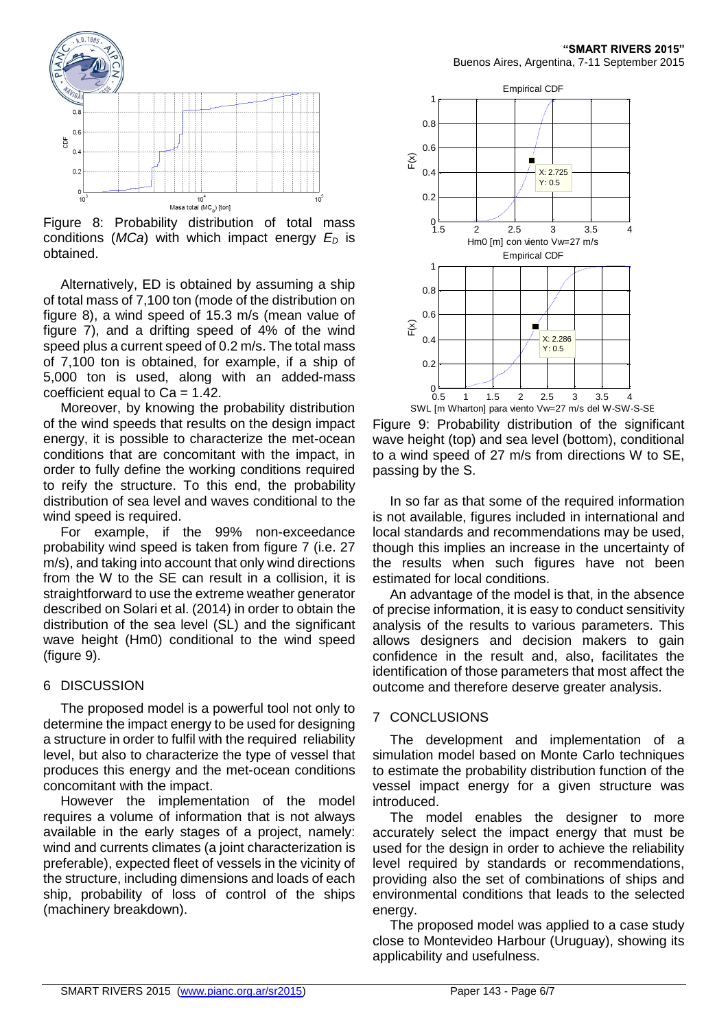

Figure 8: Probability distribution of total mass conditions (*MCa*) with which impact energy  $E_D$  is obtained.

Alternatively, ED is obtained by assuming a ship of total mass of 7,100 ton (mode of the distribution on figure 8), a wind speed of 15.3 m/s (mean value of figure 7), and a drifting speed of 4% of the wind speed plus a current speed of 0.2 m/s. The total mass of 7,100 ton is obtained, for example, if a ship of 5,000 ton is used, along with an added-mass coefficient equal to  $Ca = 1.42$ .

Moreover, by knowing the probability distribution of the wind speeds that results on the design impact energy, it is possible to characterize the met-ocean conditions that are concomitant with the impact, in order to fully define the working conditions required to reify the structure. To this end, the probability distribution of sea level and waves conditional to the wind speed is required.

For example, if the 99% non-exceedance probability wind speed is taken from figure 7 (i.e. 27 m/s), and taking into account that only wind directions from the W to the SE can result in a collision, it is straightforward to use the extreme weather generator described on Solari et al. (2014) in order to obtain the distribution of the sea level (SL) and the significant wave height (Hm0) conditional to the wind speed (figure 9).

# 6 DISCUSSION

The proposed model is a powerful tool not only to determine the impact energy to be used for designing a structure in order to fulfil with the required reliability level, but also to characterize the type of vessel that produces this energy and the met-ocean conditions concomitant with the impact.

However the implementation of the model requires a volume of information that is not always available in the early stages of a project, namely: wind and currents climates (a joint characterization is preferable), expected fleet of vessels in the vicinity of the structure, including dimensions and loads of each ship, probability of loss of control of the ships (machinery breakdown).



Figure 9: Probability distribution of the significant wave height (top) and sea level (bottom), conditional to a wind speed of 27 m/s from directions W to SE, passing by the S.

In so far as that some of the required information is not available, figures included in international and local standards and recommendations may be used, though this implies an increase in the uncertainty of the results when such figures have not been estimated for local conditions.

An advantage of the model is that, in the absence of precise information, it is easy to conduct sensitivity analysis of the results to various parameters. This allows designers and decision makers to gain confidence in the result and, also, facilitates the identification of those parameters that most affect the outcome and therefore deserve greater analysis.

# 7 CONCLUSIONS

The development and implementation of a simulation model based on Monte Carlo techniques to estimate the probability distribution function of the vessel impact energy for a given structure was introduced.

The model enables the designer to more accurately select the impact energy that must be used for the design in order to achieve the reliability level required by standards or recommendations, providing also the set of combinations of ships and environmental conditions that leads to the selected energy.

The proposed model was applied to a case study close to Montevideo Harbour (Uruguay), showing its applicability and usefulness.